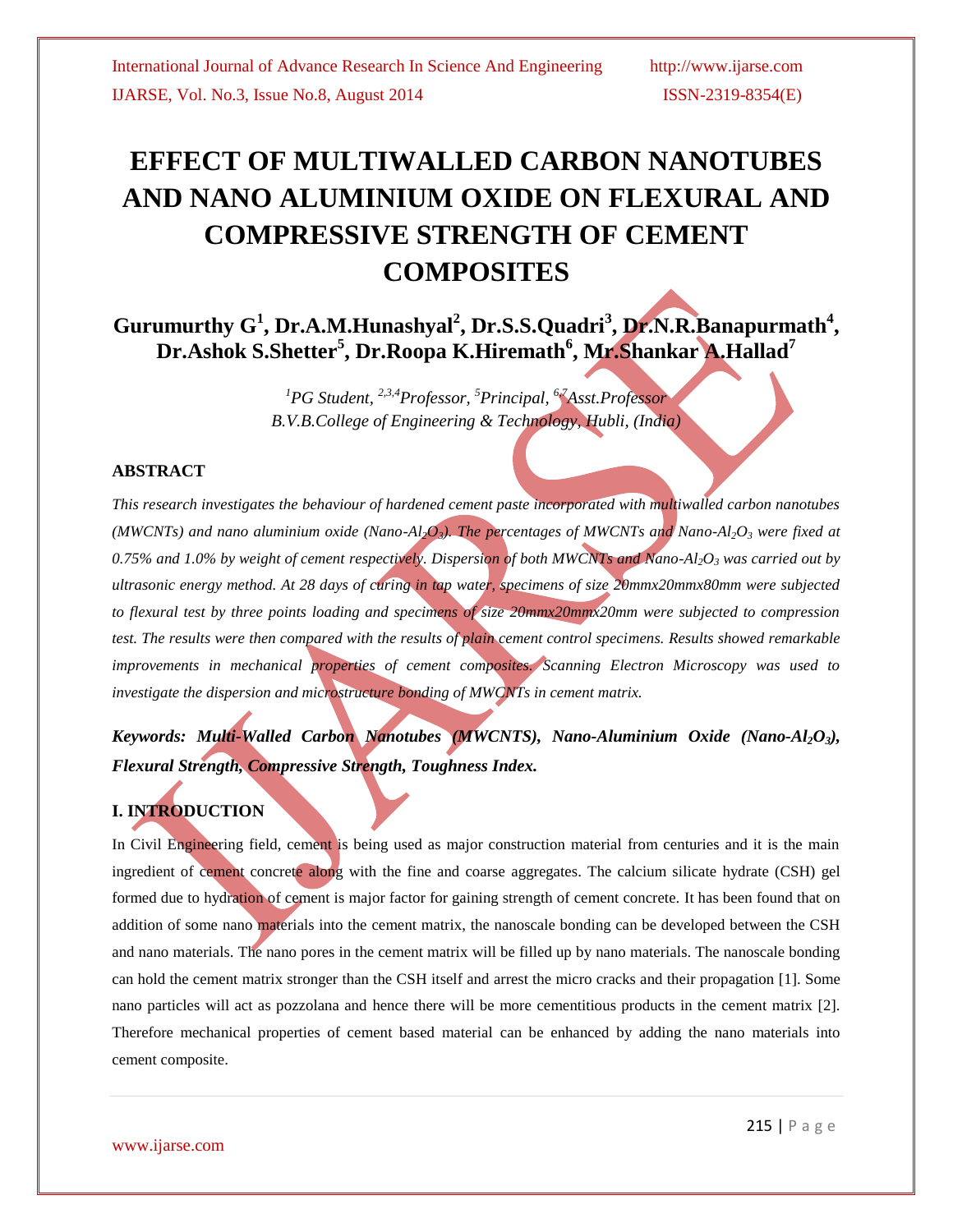# **EFFECT OF MULTIWALLED CARBON NANOTUBES AND NANO ALUMINIUM OXIDE ON FLEXURAL AND COMPRESSIVE STRENGTH OF CEMENT COMPOSITES**

**Gurumurthy G 1 , Dr.A.M.Hunashyal<sup>2</sup> , Dr.S.S.Quadri<sup>3</sup> , Dr.N.R.Banapurmath 4 , Dr.Ashok S.Shetter<sup>5</sup> , Dr.Roopa K.Hiremath<sup>6</sup> , Mr.Shankar A.Hallad<sup>7</sup>**

> *<sup>1</sup>PG Student, 2,3,4Professor, <sup>5</sup>Principal, 6,7Asst.Professor B.V.B.College of Engineering & Technology, Hubli, (India)*

## **ABSTRACT**

*This research investigates the behaviour of hardened cement paste incorporated with multiwalled carbon nanotubes (MWCNTs) and nano aluminium oxide (Nano-Al2O3). The percentages of MWCNTs and Nano-Al2O<sup>3</sup> were fixed at 0.75% and 1.0% by weight of cement respectively. Dispersion of both MWCNTs and Nano-Al2O<sup>3</sup> was carried out by ultrasonic energy method. At 28 days of curing in tap water, specimens of size 20mmx20mmx80mm were subjected to flexural test by three points loading and specimens of size 20mmx20mmx20mm were subjected to compression test. The results were then compared with the results of plain cement control specimens. Results showed remarkable improvements in mechanical properties of cement composites. Scanning Electron Microscopy was used to investigate the dispersion and microstructure bonding of MWCNTs in cement matrix.* 

*Keywords: Multi-Walled Carbon Nanotubes (MWCNTS), Nano-Aluminium Oxide (Nano-Al2O3), Flexural Strength, Compressive Strength, Toughness Index.*

## **I. INTRODUCTION**

In Civil Engineering field, cement is being used as major construction material from centuries and it is the main ingredient of cement concrete along with the fine and coarse aggregates. The calcium silicate hydrate (CSH) gel formed due to hydration of cement is major factor for gaining strength of cement concrete. It has been found that on addition of some nano materials into the cement matrix, the nanoscale bonding can be developed between the CSH and nano materials. The nano pores in the cement matrix will be filled up by nano materials. The nanoscale bonding can hold the cement matrix stronger than the CSH itself and arrest the micro cracks and their propagation [1]. Some nano particles will act as pozzolana and hence there will be more cementitious products in the cement matrix [2]. Therefore mechanical properties of cement based material can be enhanced by adding the nano materials into cement composite.

www.ijarse.com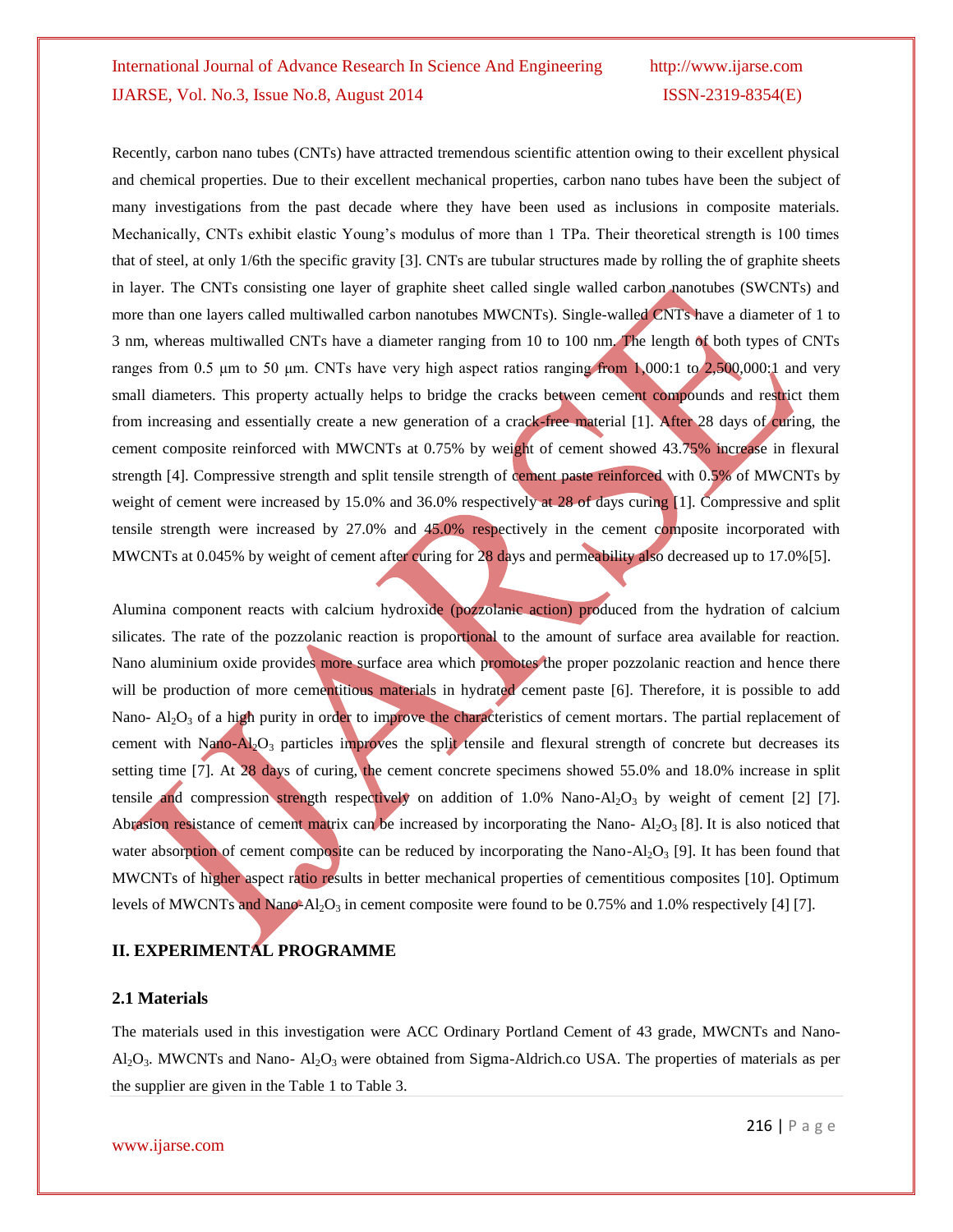Recently, carbon nano tubes (CNTs) have attracted tremendous scientific attention owing to their excellent physical and chemical properties. Due to their excellent mechanical properties, carbon nano tubes have been the subject of many investigations from the past decade where they have been used as inclusions in composite materials. Mechanically, CNTs exhibit elastic Young's modulus of more than 1 TPa. Their theoretical strength is 100 times that of steel, at only 1/6th the specific gravity [3]. CNTs are tubular structures made by rolling the of graphite sheets in layer. The CNTs consisting one layer of graphite sheet called single walled carbon nanotubes (SWCNTs) and more than one layers called multiwalled carbon nanotubes MWCNTs). Single-walled CNTs have a diameter of 1 to 3 nm, whereas multiwalled CNTs have a diameter ranging from 10 to 100 nm. The length of both types of CNTs ranges from 0.5 μm to 50 μm. CNTs have very high aspect ratios ranging from 1,000:1 to 2,500,000:1 and very small diameters. This property actually helps to bridge the cracks between cement compounds and restrict them from increasing and essentially create a new generation of a crack-free material [1]. After 28 days of curing, the cement composite reinforced with MWCNTs at 0.75% by weight of cement showed 43.75% increase in flexural strength [4]. Compressive strength and split tensile strength of cement paste reinforced with 0.5% of MWCNTs by weight of cement were increased by 15.0% and 36.0% respectively at 28 of days curing [1]. Compressive and split tensile strength were increased by 27.0% and 45.0% respectively in the cement composite incorporated with MWCNTs at 0.045% by weight of cement after curing for 28 days and permeability also decreased up to 17.0%[5].

Alumina component reacts with calcium hydroxide (pozzolanic action) produced from the hydration of calcium silicates. The rate of the pozzolanic reaction is proportional to the amount of surface area available for reaction. Nano aluminium oxide provides more surface area which promotes the proper pozzolanic reaction and hence there will be production of more cementitious materials in hydrated cement paste [6]. Therefore, it is possible to add Nano-  $Al_2O_3$  of a high purity in order to improve the characteristics of cement mortars. The partial replacement of cement with Nano-Al<sub>2</sub>O<sub>3</sub> particles improves the split tensile and flexural strength of concrete but decreases its setting time [7]. At 28 days of curing, the cement concrete specimens showed 55.0% and 18.0% increase in split tensile and compression strength respectively on addition of 1.0% Nano-Al<sub>2</sub>O<sub>3</sub> by weight of cement [2] [7]. Abrasion resistance of cement matrix can be increased by incorporating the Nano-  $Al_2O_3$  [8]. It is also noticed that water absorption of cement composite can be reduced by incorporating the Nano-Al<sub>2</sub>O<sub>3</sub> [9]. It has been found that MWCNTs of higher aspect ratio results in better mechanical properties of cementitious composites [10]. Optimum levels of MWCNTs and Nano-Al<sub>2</sub>O<sub>3</sub> in cement composite were found to be 0.75% and 1.0% respectively [4] [7].

## **II. EXPERIMENTAL PROGRAMME**

#### **2.1 Materials**

The materials used in this investigation were ACC Ordinary Portland Cement of 43 grade, MWCNTs and Nano- $AI_2O_3$ . MWCNTs and Nano-  $AI_2O_3$  were obtained from Sigma-Aldrich.co USA. The properties of materials as per the supplier are given in the Table 1 to Table 3.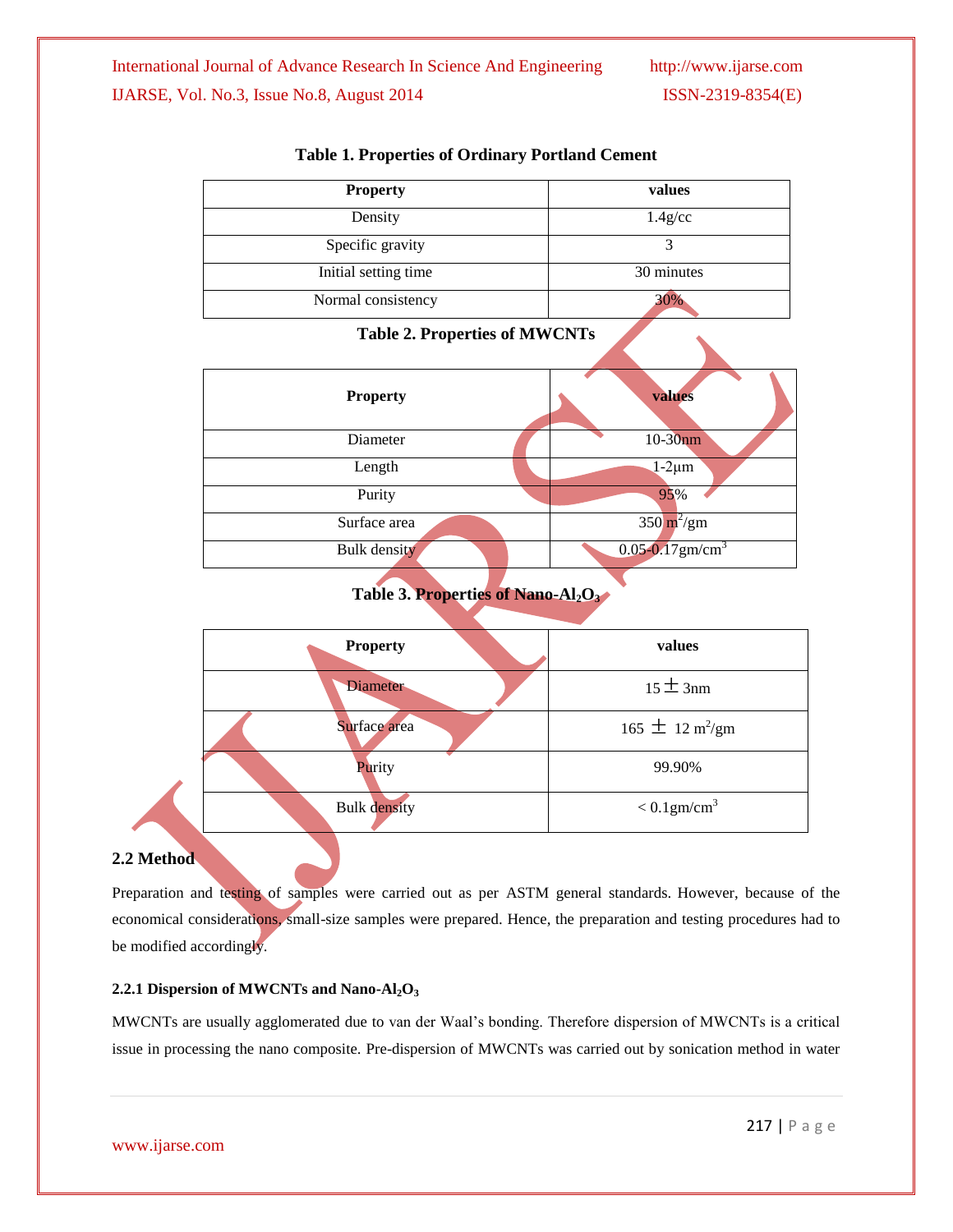| <b>Property</b>      | values     |
|----------------------|------------|
| Density              | $1.4$ g/cc |
| Specific gravity     |            |
| Initial setting time | 30 minutes |
| Normal consistency   |            |

## **Table 1. Properties of Ordinary Portland Cement**

## **Table 2. Properties of MWCNTs**

| <b>Property</b> | values                           |
|-----------------|----------------------------------|
| Diameter        | $10-30$ nm                       |
| Length          | $1-2\mu m$                       |
| Purity          | 95%                              |
| Surface area    | $350 \text{ m}^2/\text{gm}$      |
| Bulk density    | $0.05 - 0.17$ gm/cm <sup>3</sup> |

## **Table 3. Properties of Nano-Al2O<sup>3</sup>**

| values                             |
|------------------------------------|
| $15 \pm 3$ nm                      |
| $165 \pm 12 \text{ m}^2/\text{gm}$ |
| 99.90%                             |
| $< 0.1$ gm/cm <sup>3</sup>         |
|                                    |

## **2.2 Method**

Preparation and testing of samples were carried out as per ASTM general standards. However, because of the economical considerations, small-size samples were prepared. Hence, the preparation and testing procedures had to be modified accordingly.

## **2.2.1 Dispersion of MWCNTs and Nano-Al2O<sup>3</sup>**

MWCNTs are usually agglomerated due to van der Waal's bonding. Therefore dispersion of MWCNTs is a critical issue in processing the nano composite. Pre-dispersion of MWCNTs was carried out by sonication method in water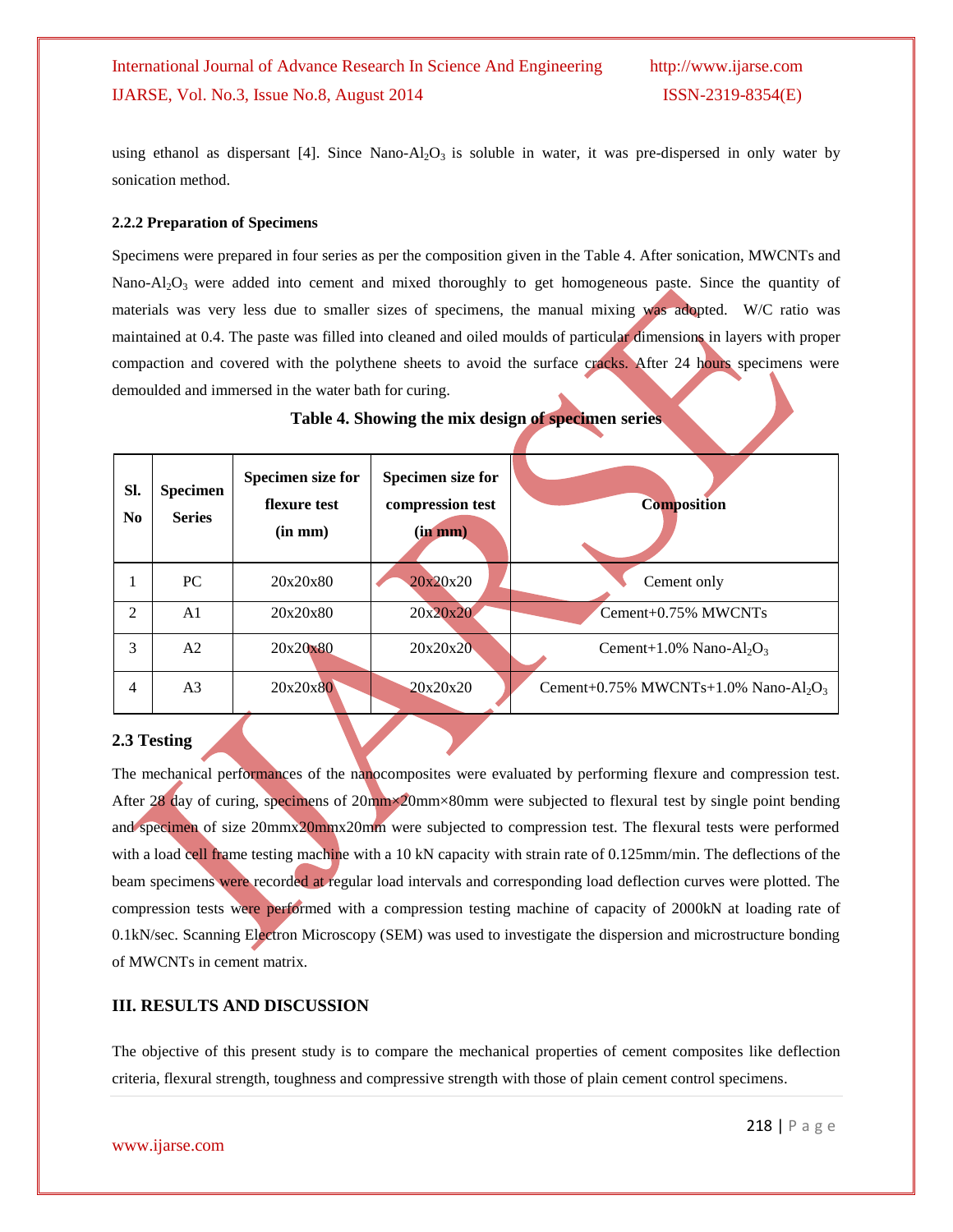using ethanol as dispersant [4]. Since Nano-Al<sub>2</sub>O<sub>3</sub> is soluble in water, it was pre-dispersed in only water by sonication method.

#### **2.2.2 Preparation of Specimens**

Specimens were prepared in four series as per the composition given in the Table 4. After sonication, MWCNTs and Nano-Al<sub>2</sub>O<sub>3</sub> were added into cement and mixed thoroughly to get homogeneous paste. Since the quantity of materials was very less due to smaller sizes of specimens, the manual mixing was adopted. W/C ratio was maintained at 0.4. The paste was filled into cleaned and oiled moulds of particular dimensions in layers with proper compaction and covered with the polythene sheets to avoid the surface cracks. After 24 hours specimens were demoulded and immersed in the water bath for curing.

| Table 4. Showing the mix design of specimen series. |  |  |  |  |  |
|-----------------------------------------------------|--|--|--|--|--|
|                                                     |  |  |  |  |  |
|                                                     |  |  |  |  |  |

| SI.<br>N <sub>0</sub> | <b>Specimen</b><br><b>Series</b> | Specimen size for<br>flexure test<br>$(in \, mm)$ | Specimen size for<br>compression test<br>(in m <sub>m</sub> ) | <b>Composition</b>                                           |
|-----------------------|----------------------------------|---------------------------------------------------|---------------------------------------------------------------|--------------------------------------------------------------|
|                       | PC.                              | 20x20x80                                          | 20x20x20                                                      | Cement only                                                  |
| $\overline{2}$        | A1                               | 20x20x80                                          | 20x20x20                                                      | Cement+0.75% MWCNTs                                          |
| 3                     | A2                               | $20x20 \times 80$                                 | 20x20x20                                                      | Cement+1.0% Nano-Al <sub>2</sub> O <sub>3</sub>              |
| 4                     | A <sub>3</sub>                   | 20x20x80                                          | 20x20x20                                                      | Cement+0.75% MWCNTs+1.0% Nano-Al <sub>2</sub> O <sub>3</sub> |

## **2.3 Testing**

The mechanical performances of the nanocomposites were evaluated by performing flexure and compression test. After 28 day of curing, specimens of 20mm×20mm×80mm were subjected to flexural test by single point bending and specimen of size 20mmx20mmx20mm were subjected to compression test. The flexural tests were performed with a load cell frame testing machine with a 10 kN capacity with strain rate of 0.125mm/min. The deflections of the beam specimens were recorded at regular load intervals and corresponding load deflection curves were plotted. The compression tests were performed with a compression testing machine of capacity of 2000kN at loading rate of 0.1kN/sec. Scanning Electron Microscopy (SEM) was used to investigate the dispersion and microstructure bonding of MWCNTs in cement matrix.

## **III. RESULTS AND DISCUSSION**

The objective of this present study is to compare the mechanical properties of cement composites like deflection criteria, flexural strength, toughness and compressive strength with those of plain cement control specimens.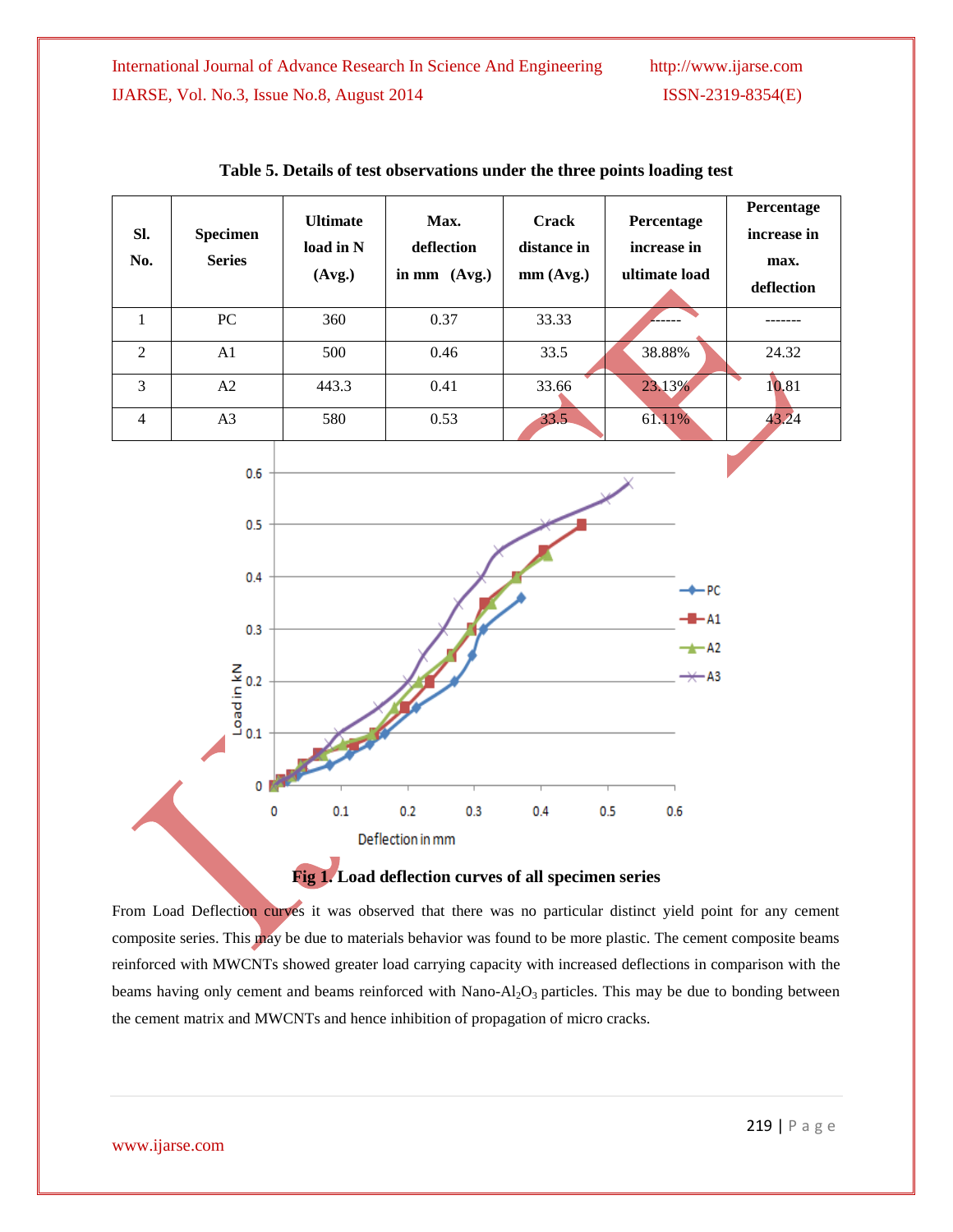| SI.<br>No.     | <b>Specimen</b><br><b>Series</b> | <b>Ultimate</b><br>load in N<br>(Avg.) | Max.<br>deflection<br>in mm $(Avg.)$ | <b>Crack</b><br>distance in<br>mm(Avg.) | Percentage<br>increase in<br>ultimate load | Percentage<br>increase in<br>max.<br>deflection |
|----------------|----------------------------------|----------------------------------------|--------------------------------------|-----------------------------------------|--------------------------------------------|-------------------------------------------------|
|                | PC.                              | 360                                    | 0.37                                 | 33.33                                   |                                            |                                                 |
| $\mathfrak{D}$ | A <sub>1</sub>                   | 500                                    | 0.46                                 | 33.5                                    | 38.88%                                     | 24.32                                           |
| 3              | A2                               | 443.3                                  | 0.41                                 | 33.66                                   | 23.13%                                     | 10.81                                           |
| 4              | A <sub>3</sub>                   | 580                                    | 0.53                                 | 33.5                                    | 61.11%                                     | 43.24                                           |

|  |  |  | Table 5. Details of test observations under the three points loading test |
|--|--|--|---------------------------------------------------------------------------|
|--|--|--|---------------------------------------------------------------------------|



From Load Deflection curves it was observed that there was no particular distinct yield point for any cement composite series. This may be due to materials behavior was found to be more plastic. The cement composite beams reinforced with MWCNTs showed greater load carrying capacity with increased deflections in comparison with the beams having only cement and beams reinforced with Nano-Al<sub>2</sub>O<sub>3</sub> particles. This may be due to bonding between the cement matrix and MWCNTs and hence inhibition of propagation of micro cracks.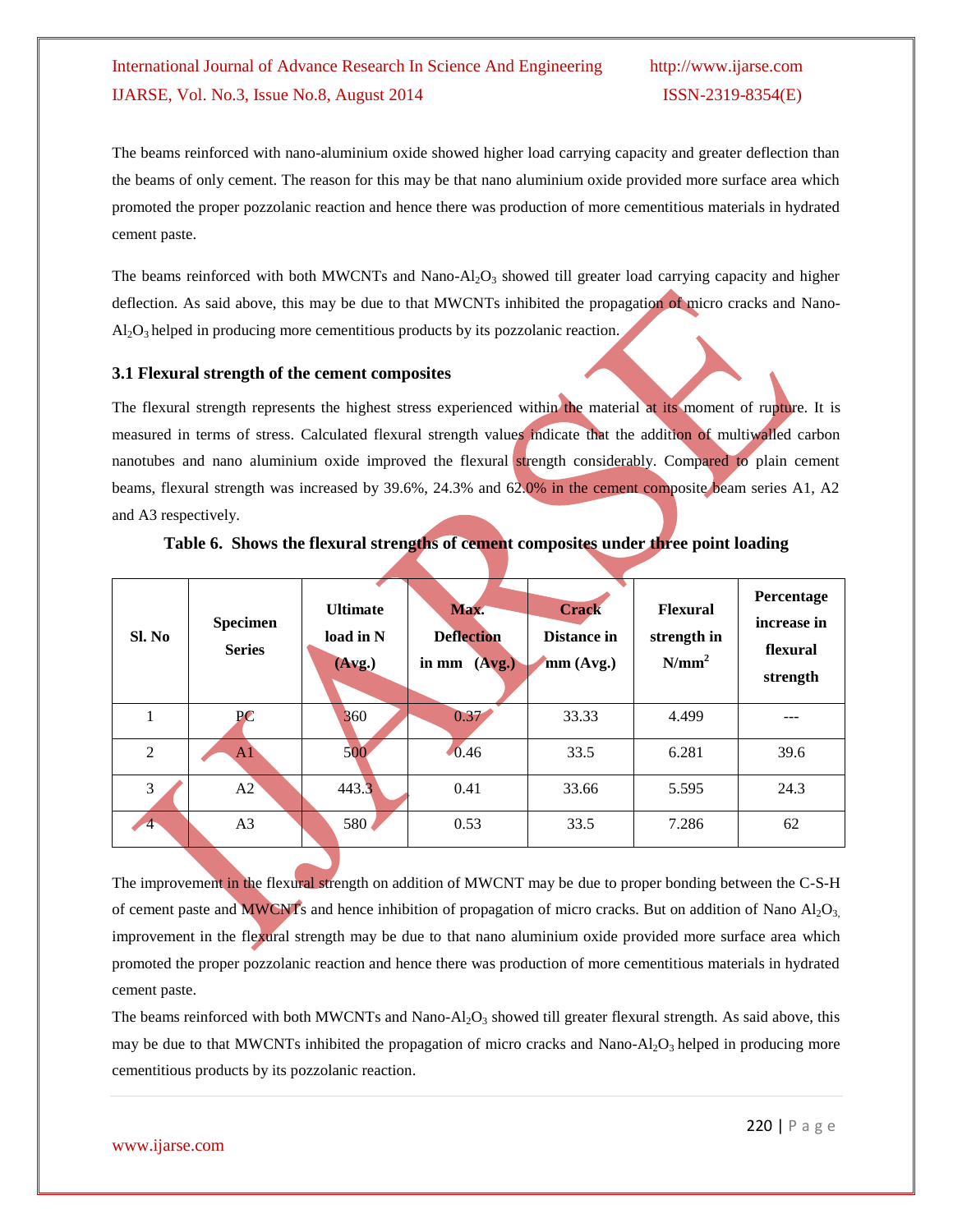The beams reinforced with nano-aluminium oxide showed higher load carrying capacity and greater deflection than the beams of only cement. The reason for this may be that nano aluminium oxide provided more surface area which promoted the proper pozzolanic reaction and hence there was production of more cementitious materials in hydrated cement paste.

The beams reinforced with both MWCNTs and Nano-Al<sub>2</sub>O<sub>3</sub> showed till greater load carrying capacity and higher deflection. As said above, this may be due to that MWCNTs inhibited the propagation of micro cracks and Nano- $Al_2O_3$  helped in producing more cementitious products by its pozzolanic reaction.

#### **3.1 Flexural strength of the cement composites**

The flexural strength represents the highest stress experienced within the material at its moment of rupture. It is measured in terms of stress. Calculated flexural strength values indicate that the addition of multiwalled carbon nanotubes and nano aluminium oxide improved the flexural strength considerably. Compared to plain cement beams, flexural strength was increased by 39.6%, 24.3% and 62.0% in the cement composite beam series A1, A2 and A3 respectively.

| Sl. No               | Specimen<br><b>Series</b> | <b>Ultimate</b><br>load in N<br>(Avg.) | Max.<br><b>Deflection</b><br>in mm<br>(Avg.) | <b>Crack</b><br>Distance in<br>mm(Avg.) | <b>Flexural</b><br>strength in<br>N/mm <sup>2</sup> | Percentage<br>increase in<br>flexural<br>strength |
|----------------------|---------------------------|----------------------------------------|----------------------------------------------|-----------------------------------------|-----------------------------------------------------|---------------------------------------------------|
|                      | PC                        | 360                                    | 0.37                                         | 33.33                                   | 4.499                                               | ---                                               |
| $\overline{2}$       | A1                        | 500                                    | 0.46                                         | 33.5                                    | 6.281                                               | 39.6                                              |
| 3                    | A2                        | 443.3                                  | 0.41                                         | 33.66                                   | 5.595                                               | 24.3                                              |
| $\blacktriangleleft$ | A3                        | 580                                    | 0.53                                         | 33.5                                    | 7.286                                               | 62                                                |

#### **Table 6. Shows the flexural strengths of cement composites under three point loading**

The improvement in the flexural strength on addition of MWCNT may be due to proper bonding between the C-S-H of cement paste and MWCNTs and hence inhibition of propagation of micro cracks. But on addition of Nano  $A<sub>1</sub>O<sub>3</sub>$ improvement in the flexural strength may be due to that nano aluminium oxide provided more surface area which promoted the proper pozzolanic reaction and hence there was production of more cementitious materials in hydrated cement paste.

The beams reinforced with both MWCNTs and Nano-Al<sub>2</sub>O<sub>3</sub> showed till greater flexural strength. As said above, this may be due to that MWCNTs inhibited the propagation of micro cracks and Nano-Al<sub>2</sub>O<sub>3</sub> helped in producing more cementitious products by its pozzolanic reaction.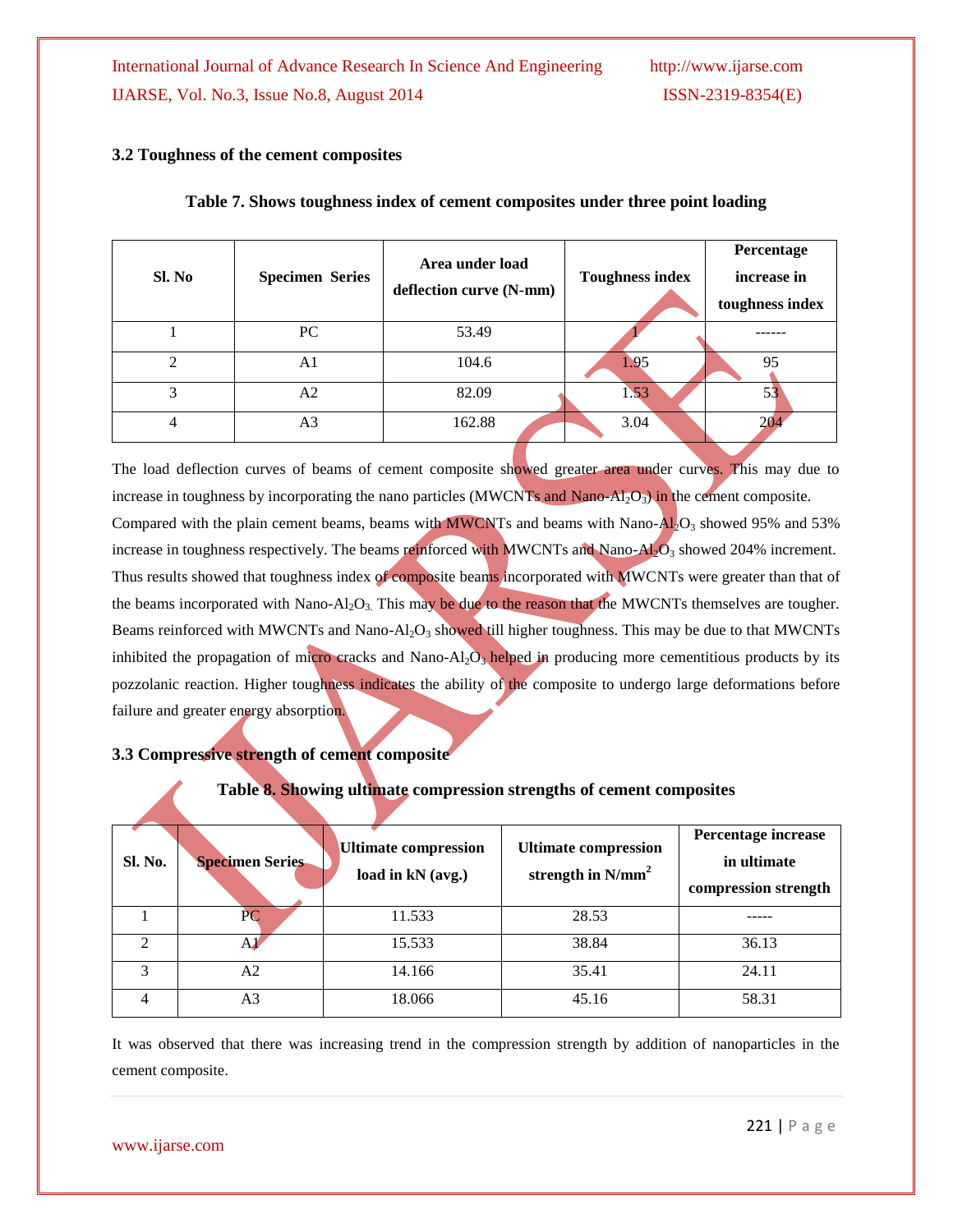## **3.2 Toughness of the cement composites**

| Sl. No         | <b>Specimen Series</b> | Area under load<br>deflection curve (N-mm) | <b>Toughness index</b> | Percentage<br>increase in<br>toughness index |
|----------------|------------------------|--------------------------------------------|------------------------|----------------------------------------------|
|                | PC                     | 53.49                                      |                        |                                              |
| $\overline{2}$ | A1                     | 104.6                                      | 1.95                   | 95                                           |
| 3              | A2                     | 82.09                                      | 1.53                   | 53                                           |
| $\overline{4}$ | A <sub>3</sub>         | 162.88                                     | 3.04                   | 204                                          |

#### **Table 7. Shows toughness index of cement composites under three point loading**

The load deflection curves of beams of cement composite showed greater area under curves. This may due to increase in toughness by incorporating the nano particles (MWCNTs and Nano-Al<sub>2</sub>O<sub>3</sub>) in the cement composite. Compared with the plain cement beams, beams with MWCNTs and beams with Nano- $\overline{Al}_2O_3$  showed 95% and 53% increase in toughness respectively. The beams reinforced with MWCNTs and Nano- $\overrightarrow{AD_3}$  showed 204% increment. Thus results showed that toughness index of composite beams incorporated with MWCNTs were greater than that of the beams incorporated with Nano-Al<sub>2</sub>O<sub>3</sub>. This may be due to the reason that the MWCNTs themselves are tougher. Beams reinforced with MWCNTs and Nano-Al<sub>2</sub>O<sub>3</sub> showed till higher toughness. This may be due to that MWCNTs inhibited the propagation of micro cracks and Nano-Al<sub>2</sub>O<sub>3</sub> helped in producing more cementitious products by its pozzolanic reaction. Higher toughness indicates the ability of the composite to undergo large deformations before failure and greater energy absorption.

## **3.3 Compressive strength of cement composite**

## **Table 8. Showing ultimate compression strengths of cement composites**

| Sl. No. | <b>Specimen Series</b> | <b>Ultimate compression</b><br>load in kN (avg.) | <b>Ultimate compression</b><br>strength in $N/mm^2$ | Percentage increase<br>in ultimate<br>compression strength |
|---------|------------------------|--------------------------------------------------|-----------------------------------------------------|------------------------------------------------------------|
|         | PС                     | 11.533                                           | 28.53                                               |                                                            |
|         |                        | 15.533                                           | 38.84                                               | 36.13                                                      |
| 3       | А2                     | 14.166                                           | 35.41                                               | 24.11                                                      |
|         | A3                     | 18.066                                           | 45.16                                               | 58.31                                                      |

It was observed that there was increasing trend in the compression strength by addition of nanoparticles in the cement composite.

www.ijarse.com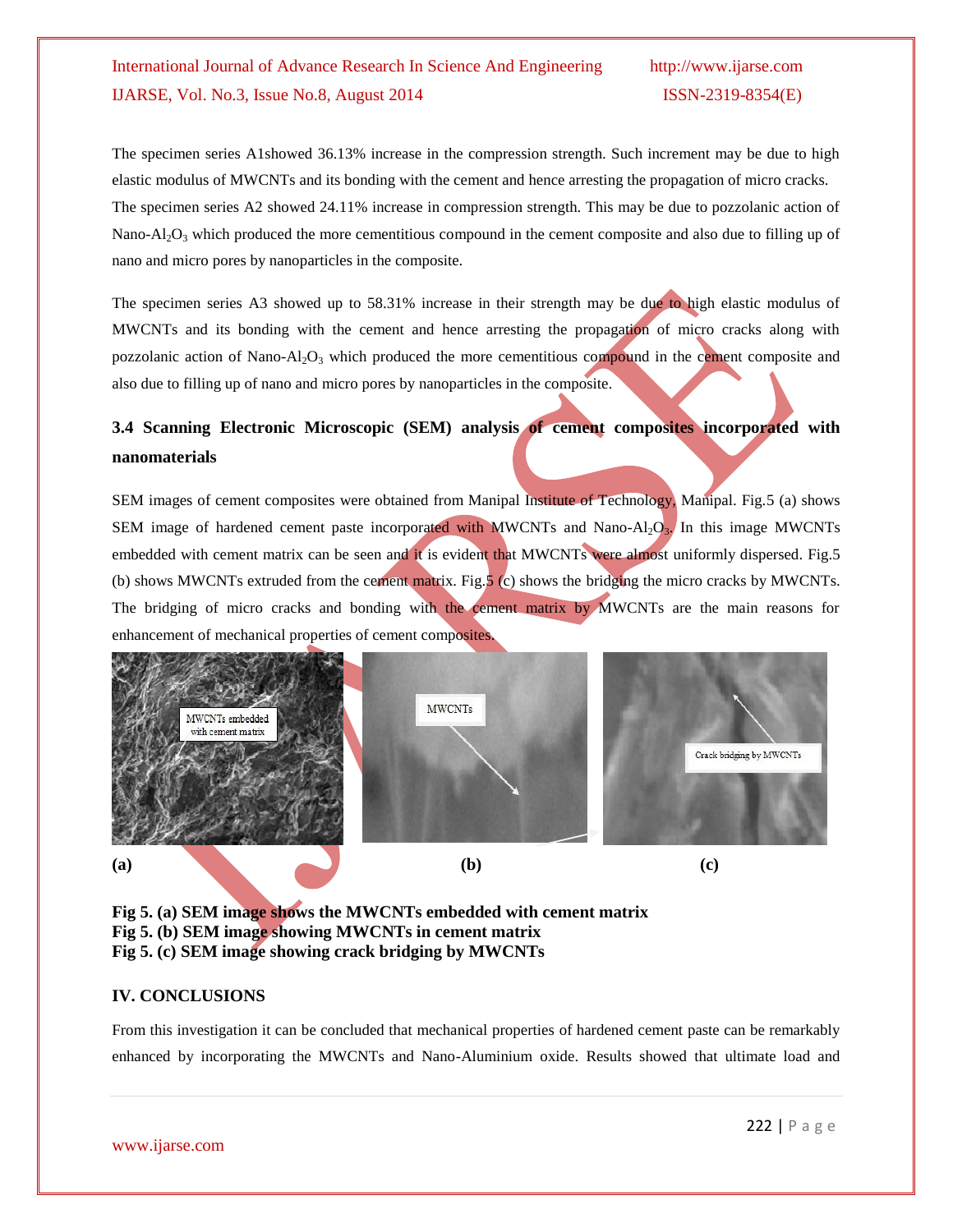The specimen series A1showed 36.13% increase in the compression strength. Such increment may be due to high elastic modulus of MWCNTs and its bonding with the cement and hence arresting the propagation of micro cracks. The specimen series A2 showed 24.11% increase in compression strength. This may be due to pozzolanic action of Nano-Al<sub>2</sub>O<sub>3</sub> which produced the more cementitious compound in the cement composite and also due to filling up of nano and micro pores by nanoparticles in the composite.

The specimen series A3 showed up to 58.31% increase in their strength may be due to high elastic modulus of MWCNTs and its bonding with the cement and hence arresting the propagation of micro cracks along with pozzolanic action of Nano-Al<sub>2</sub>O<sub>3</sub> which produced the more cementitious compound in the cement composite and also due to filling up of nano and micro pores by nanoparticles in the composite.

## **3.4 Scanning Electronic Microscopic (SEM) analysis of cement composites incorporated with nanomaterials**

SEM images of cement composites were obtained from Manipal Institute of Technology, Manipal. Fig.5 (a) shows SEM image of hardened cement paste incorporated with MWCNTs and Nano-Al<sub>2</sub>O<sub>3</sub>. In this image MWCNTs embedded with cement matrix can be seen and it is evident that MWCNTs were almost uniformly dispersed. Fig.5 (b) shows MWCNTs extruded from the cement matrix. Fig.5 (c) shows the bridging the micro cracks by MWCNTs. The bridging of micro cracks and bonding with the cement matrix by MWCNTs are the main reasons for enhancement of mechanical properties of cement composites.



**Fig 5. (a) SEM image shows the MWCNTs embedded with cement matrix Fig 5. (b) SEM image showing MWCNTs in cement matrix Fig 5. (c) SEM image showing crack bridging by MWCNTs**

## **IV. CONCLUSIONS**

From this investigation it can be concluded that mechanical properties of hardened cement paste can be remarkably enhanced by incorporating the MWCNTs and Nano-Aluminium oxide. Results showed that ultimate load and